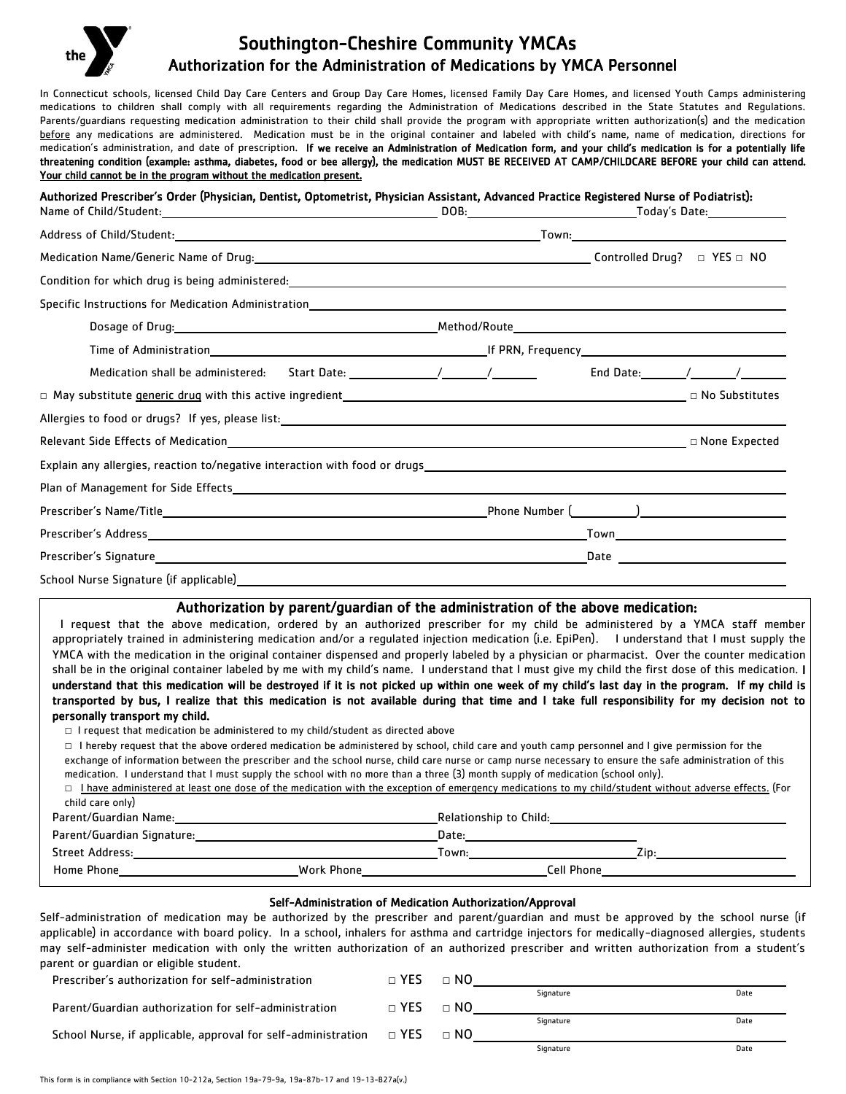## Southington-Cheshire Community YMCAs Authorization for the Administration of Medications by YMCA Personnel

In Connecticut schools, licensed Child Day Care Centers and Group Day Care Homes, licensed Family Day Care Homes, and licensed Youth Camps administering medications to children shall comply with all requirements regarding the Administration of Medications described in the State Statutes and Regulations. Parents/quardians requesting medication administration to their child shall provide the program with appropriate written authorization(s) and the medication before any medications are administered. Medication must be in the original container and labeled with child's name, name of medication, directions for medication's administration, and date of prescription. If we receive an Administration of Medication form, and your child's medication is for a potentially life threatening condition (example: asthma, diabetes, food or bee allergy), the medication MUST BE RECEIVED AT CAMP/CHILDCARE BEFORE your child can attend. Your child cannot be in the program without the medication present.

Authorized Prescriber's Order (Physician, Dentist, Optometrist, Physician Assistant, Advanced Practice Registered Nurse of Podiatrist):

|                                                                                                                                                                                                                               | DOB: |  |  |
|-------------------------------------------------------------------------------------------------------------------------------------------------------------------------------------------------------------------------------|------|--|--|
|                                                                                                                                                                                                                               |      |  |  |
|                                                                                                                                                                                                                               |      |  |  |
| Condition for which drug is being administered: example and a series of the condition of the condition of the condition of the condition of the condition of the condition of the condition of the condition of the condition |      |  |  |
|                                                                                                                                                                                                                               |      |  |  |
|                                                                                                                                                                                                                               |      |  |  |
|                                                                                                                                                                                                                               |      |  |  |
| Medication shall be administered: Start Date: _______________/________/ End Date: ______/_______/_____________                                                                                                                |      |  |  |
|                                                                                                                                                                                                                               |      |  |  |
|                                                                                                                                                                                                                               |      |  |  |
|                                                                                                                                                                                                                               |      |  |  |
|                                                                                                                                                                                                                               |      |  |  |
|                                                                                                                                                                                                                               |      |  |  |
|                                                                                                                                                                                                                               |      |  |  |
|                                                                                                                                                                                                                               |      |  |  |
|                                                                                                                                                                                                                               |      |  |  |
|                                                                                                                                                                                                                               |      |  |  |

## Authorization by parent/guardian of the administration of the above medication:

 I request that the above medication, ordered by an authorized prescriber for my child be administered by a YMCA staff member appropriately trained in administering medication and/or a regulated injection medication (i.e. EpiPen). I understand that I must supply the YMCA with the medication in the original container dispensed and properly labeled by a physician or pharmacist. Over the counter medication shall be in the original container labeled by me with my child's name. I understand that I must give my child the first dose of this medication. I understand that this medication will be destroyed if it is not picked up within one week of my child's last day in the program. If my child is transported by bus, I realize that this medication is not available during that time and I take full responsibility for my decision not to personally transport my child.

□ I request that medication be administered to my child/student as directed above

□ I hereby request that the above ordered medication be administered by school, child care and youth camp personnel and I give permission for the exchange of information between the prescriber and the school nurse, child care nurse or camp nurse necessary to ensure the safe administration of this medication. I understand that I must supply the school with no more than a three (3) month supply of medication (school only).

| $\Box$ I have administered at least one dose of the medication with the exception of emergency medications to my child/student without adverse effects. (For |  |  |  |  |
|--------------------------------------------------------------------------------------------------------------------------------------------------------------|--|--|--|--|
| child care only)                                                                                                                                             |  |  |  |  |

| Parent/Guardian Name:      |            | Relationship to Child: |      |  |
|----------------------------|------------|------------------------|------|--|
| Parent/Guardian Signature: |            | Date:                  |      |  |
| Street Address:            |            | Town:                  | Zin: |  |
| Home Phone                 | Work Phone | Cell Phone             |      |  |

## Self-Administration of Medication Authorization/Approval

Self-administration of medication may be authorized by the prescriber and parent/guardian and must be approved by the school nurse (if applicable) in accordance with board policy. In a school, inhalers for asthma and cartridge injectors for medically-diagnosed allergies, students may self-administer medication with only the written authorization of an authorized prescriber and written authorization from a student's parent or guardian or eligible student.

| Prescriber's authorization for self-administration                          | $\sqcap$ YFS | $\sqcap$ NO |           |      |
|-----------------------------------------------------------------------------|--------------|-------------|-----------|------|
|                                                                             |              |             | Signature | Date |
| Parent/Guardian authorization for self-administration                       | $\sqcap$ YES | $\sqcap$ NO |           |      |
|                                                                             |              |             | Signature | Date |
| School Nurse, if applicable, approval for self-administration $\square$ YES |              | $\sqcap$ NO |           |      |
|                                                                             |              |             | Signature | Date |

L